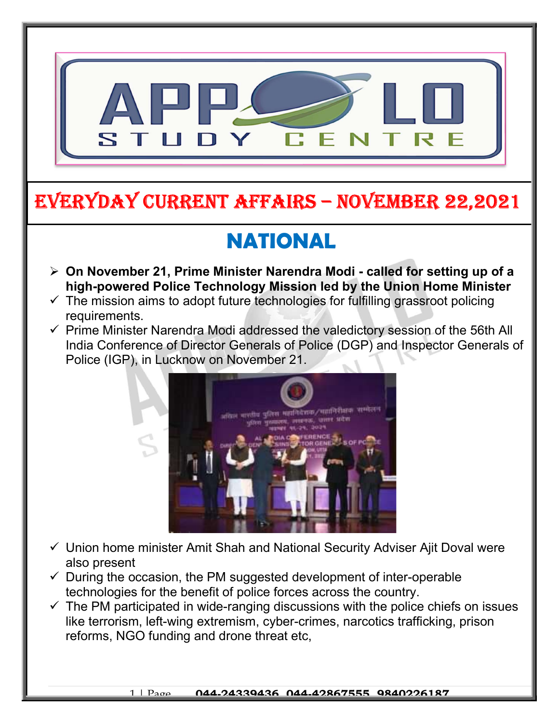

## EVERYDAY CURRENT AFFAIRS – NOVEMBER 22,2021

-

# NATIONAL

- $\geq$  On November 21, Prime Minister Narendra Modi called for setting up of a high-powered Police Technology Mission led by the Union Home Minister
- $\checkmark$  The mission aims to adopt future technologies for fulfilling grassroot policing requirements.
- $\checkmark$  Prime Minister Narendra Modi addressed the valedictory session of the 56th All India Conference of Director Generals of Police (DGP) and Inspector Generals of Police (IGP), in Lucknow on November 21.



- $\checkmark$  Union home minister Amit Shah and National Security Adviser Ajit Doval were also present
- $\checkmark$  During the occasion, the PM suggested development of inter-operable technologies for the benefit of police forces across the country.
- $\checkmark$  The PM participated in wide-ranging discussions with the police chiefs on issues like terrorism, left-wing extremism, cyber-crimes, narcotics trafficking, prison reforms, NGO funding and drone threat etc,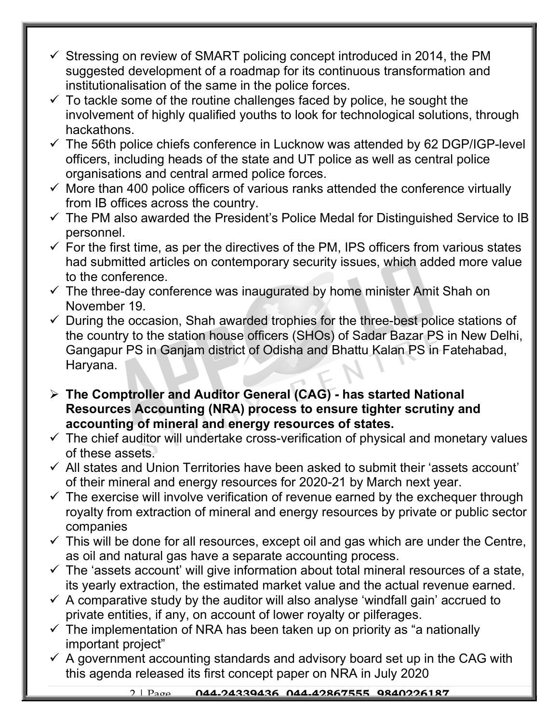- $\checkmark$  Stressing on review of SMART policing concept introduced in 2014, the PM suggested development of a roadmap for its continuous transformation and institutionalisation of the same in the police forces.
- $\checkmark$  To tackle some of the routine challenges faced by police, he sought the involvement of highly qualified youths to look for technological solutions, through hackathons.
- $\checkmark$  The 56th police chiefs conference in Lucknow was attended by 62 DGP/IGP-level officers, including heads of the state and UT police as well as central police organisations and central armed police forces.
- $\checkmark$  More than 400 police officers of various ranks attended the conference virtually from IB offices across the country.
- $\checkmark$  The PM also awarded the President's Police Medal for Distinguished Service to IB personnel.
- $\checkmark$  For the first time, as per the directives of the PM, IPS officers from various states had submitted articles on contemporary security issues, which added more value to the conference.
- $\checkmark$  The three-day conference was inaugurated by home minister Amit Shah on November 19.
- $\checkmark$  During the occasion, Shah awarded trophies for the three-best police stations of the country to the station house officers (SHOs) of Sadar Bazar PS in New Delhi, Gangapur PS in Ganjam district of Odisha and Bhattu Kalan PS in Fatehabad, Haryana.
- The Comptroller and Auditor General (CAG) has started National Resources Accounting (NRA) process to ensure tighter scrutiny and accounting of mineral and energy resources of states.
- $\checkmark$  The chief auditor will undertake cross-verification of physical and monetary values of these assets.
- $\checkmark$  All states and Union Territories have been asked to submit their 'assets account' of their mineral and energy resources for 2020-21 by March next year.
- $\checkmark$  The exercise will involve verification of revenue earned by the exchequer through royalty from extraction of mineral and energy resources by private or public sector companies
- $\checkmark$  This will be done for all resources, except oil and gas which are under the Centre, as oil and natural gas have a separate accounting process.
- $\checkmark$  The 'assets account' will give information about total mineral resources of a state, its yearly extraction, the estimated market value and the actual revenue earned.
- $\checkmark$  A comparative study by the auditor will also analyse 'windfall gain' accrued to private entities, if any, on account of lower royalty or pilferages.
- $\checkmark$  The implementation of NRA has been taken up on priority as "a nationally important project"
- $\checkmark$  A government accounting standards and advisory board set up in the CAG with this agenda released its first concept paper on NRA in July 2020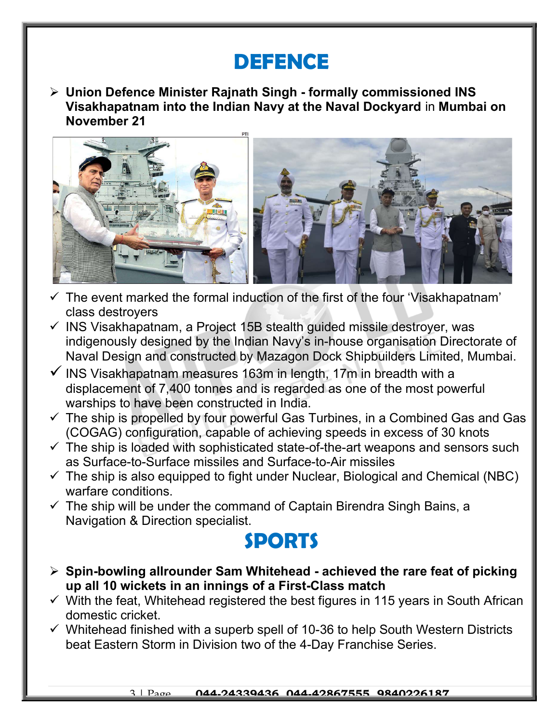### DEFENCE

 $\triangleright$  Union Defence Minister Rajnath Singh - formally commissioned INS Visakhapatnam into the Indian Navy at the Naval Dockyard in Mumbai on November 21



- $\checkmark$  The event marked the formal induction of the first of the four 'Visakhapatnam' class destroyers
- $\checkmark$  INS Visakhapatnam, a Project 15B stealth guided missile destroyer, was indigenously designed by the Indian Navy's in-house organisation Directorate of Naval Design and constructed by Mazagon Dock Shipbuilders Limited, Mumbai.
- $\checkmark$  INS Visakhapatnam measures 163m in length, 17m in breadth with a displacement of 7,400 tonnes and is regarded as one of the most powerful warships to have been constructed in India.
- $\checkmark$  The ship is propelled by four powerful Gas Turbines, in a Combined Gas and Gas (COGAG) configuration, capable of achieving speeds in excess of 30 knots
- $\checkmark$  The ship is loaded with sophisticated state-of-the-art weapons and sensors such as Surface-to-Surface missiles and Surface-to-Air missiles
- $\checkmark$  The ship is also equipped to fight under Nuclear, Biological and Chemical (NBC) warfare conditions.
- $\checkmark$  The ship will be under the command of Captain Birendra Singh Bains, a Navigation & Direction specialist.

#### SPORTS

- $\triangleright$  Spin-bowling allrounder Sam Whitehead achieved the rare feat of picking up all 10 wickets in an innings of a First-Class match
- $\checkmark$  With the feat, Whitehead registered the best figures in 115 years in South African domestic cricket.
- $\checkmark$  Whitehead finished with a superb spell of 10-36 to help South Western Districts beat Eastern Storm in Division two of the 4-Day Franchise Series.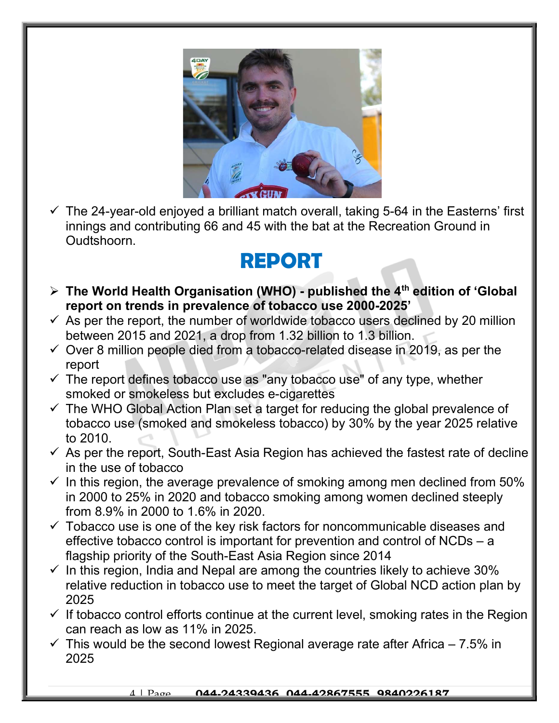

 $\checkmark$  The 24-year-old enjoyed a brilliant match overall, taking 5-64 in the Easterns' first innings and contributing 66 and 45 with the bat at the Recreation Ground in Oudtshoorn.

### REPORT

- $\triangleright$  The World Health Organisation (WHO) published the 4<sup>th</sup> edition of 'Global report on trends in prevalence of tobacco use 2000-2025'
- $\checkmark$  As per the report, the number of worldwide tobacco users declined by 20 million between 2015 and 2021, a drop from 1.32 billion to 1.3 billion.
- $\checkmark$  Over 8 million people died from a tobacco-related disease in 2019, as per the report
- $\checkmark$  The report defines tobacco use as "any tobacco use" of any type, whether smoked or smokeless but excludes e-cigarettes
- $\checkmark$  The WHO Global Action Plan set a target for reducing the global prevalence of tobacco use (smoked and smokeless tobacco) by 30% by the year 2025 relative to 2010.
- $\checkmark$  As per the report, South-East Asia Region has achieved the fastest rate of decline in the use of tobacco
- $\checkmark$  In this region, the average prevalence of smoking among men declined from 50% in 2000 to 25% in 2020 and tobacco smoking among women declined steeply from 8.9% in 2000 to 1.6% in 2020.
- $\checkmark$  Tobacco use is one of the key risk factors for noncommunicable diseases and effective tobacco control is important for prevention and control of NCDs – a flagship priority of the South-East Asia Region since 2014
- $\checkmark$  In this region, India and Nepal are among the countries likely to achieve 30% relative reduction in tobacco use to meet the target of Global NCD action plan by 2025
- $\checkmark$  If tobacco control efforts continue at the current level, smoking rates in the Region can reach as low as 11% in 2025.
- $\checkmark$  This would be the second lowest Regional average rate after Africa 7.5% in 2025